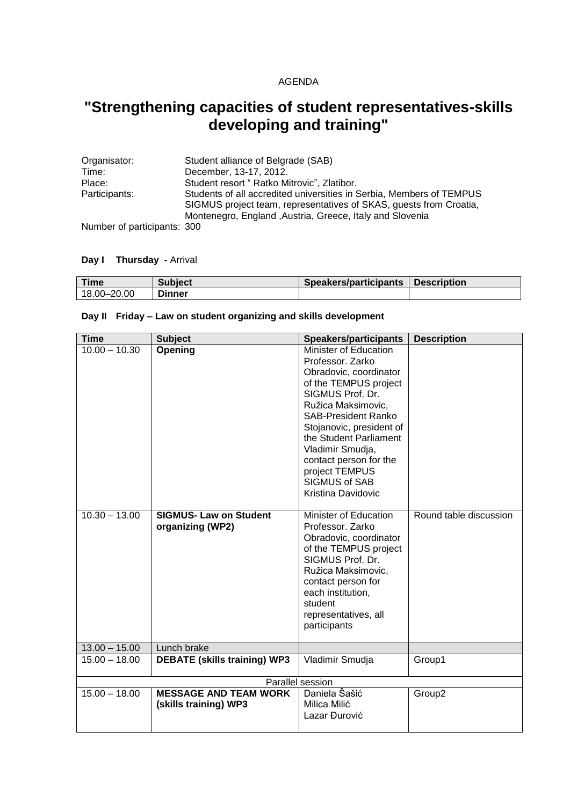#### AGENDA

# **"Strengthening capacities of student representatives-skills developing and training"**

| Organisator:   | Student alliance of Belgrade (SAB)                                                                                                         |
|----------------|--------------------------------------------------------------------------------------------------------------------------------------------|
| Time:          | December, 13-17, 2012.                                                                                                                     |
| Place:         | Student resort " Ratko Mitrovic", Zlatibor.                                                                                                |
| Participants:  | Students of all accredited universities in Serbia, Members of TEMPUS<br>SIGMUS project team, representatives of SKAS, quests from Croatia, |
| $\blacksquare$ | Montenegro, England , Austria, Greece, Italy and Slovenia                                                                                  |

Number of participants: 300

#### **Day I Thursday -** Arrival

| Time        | <b>Subject</b> | Speakers/participants | <b>Description</b> |
|-------------|----------------|-----------------------|--------------------|
| 18.00-20.00 | <b>Dinner</b>  |                       |                    |

## **Day II Friday – Law on student organizing and skills development**

| <b>Time</b>      | <b>Subject</b>                                        | <b>Speakers/participants</b>                                                                                                                                                                                                                                                                                                                    | <b>Description</b>     |
|------------------|-------------------------------------------------------|-------------------------------------------------------------------------------------------------------------------------------------------------------------------------------------------------------------------------------------------------------------------------------------------------------------------------------------------------|------------------------|
| $10.00 - 10.30$  | Opening                                               | <b>Minister of Education</b><br>Professor, Zarko<br>Obradovic, coordinator<br>of the TEMPUS project<br>SIGMUS Prof. Dr.<br>Ružica Maksimovic,<br><b>SAB-President Ranko</b><br>Stojanovic, president of<br>the Student Parliament<br>Vladimir Smudja,<br>contact person for the<br>project TEMPUS<br><b>SIGMUS of SAB</b><br>Kristina Davidovic |                        |
| $10.30 - 13.00$  | <b>SIGMUS- Law on Student</b><br>organizing (WP2)     | Minister of Education<br>Professor, Zarko<br>Obradovic, coordinator<br>of the TEMPUS project<br>SIGMUS Prof. Dr.<br>Ružica Maksimovic,<br>contact person for<br>each institution,<br>student<br>representatives, all<br>participants                                                                                                            | Round table discussion |
| $13.00 - 15.00$  | Lunch brake                                           |                                                                                                                                                                                                                                                                                                                                                 |                        |
| $15.00 - 18.00$  | <b>DEBATE (skills training) WP3</b>                   | Vladimir Smudja                                                                                                                                                                                                                                                                                                                                 | Group1                 |
| Parallel session |                                                       |                                                                                                                                                                                                                                                                                                                                                 |                        |
| $15.00 - 18.00$  | <b>MESSAGE AND TEAM WORK</b><br>(skills training) WP3 | Daniela Šašić<br>Milica Milić<br>Lazar Đurović                                                                                                                                                                                                                                                                                                  | Group2                 |